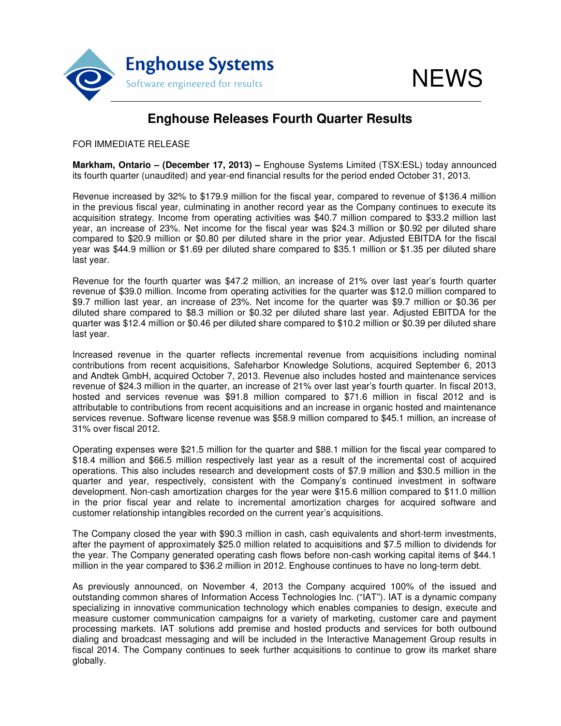

## **Enghouse Releases Fourth Quarter Results**

FOR IMMEDIATE RELEASE

**Markham, Ontario – (December 17, 2013) –** Enghouse Systems Limited (TSX:ESL) today announced its fourth quarter (unaudited) and year-end financial results for the period ended October 31, 2013.

Revenue increased by 32% to \$179.9 million for the fiscal year, compared to revenue of \$136.4 million in the previous fiscal year, culminating in another record year as the Company continues to execute its acquisition strategy. Income from operating activities was \$40.7 million compared to \$33.2 million last year, an increase of 23%. Net income for the fiscal year was \$24.3 million or \$0.92 per diluted share compared to \$20.9 million or \$0.80 per diluted share in the prior year. Adjusted EBITDA for the fiscal year was \$44.9 million or \$1.69 per diluted share compared to \$35.1 million or \$1.35 per diluted share last year.

Revenue for the fourth quarter was \$47.2 million, an increase of 21% over last year's fourth quarter revenue of \$39.0 million. Income from operating activities for the quarter was \$12.0 million compared to \$9.7 million last year, an increase of 23%. Net income for the quarter was \$9.7 million or \$0.36 per diluted share compared to \$8.3 million or \$0.32 per diluted share last year. Adjusted EBITDA for the quarter was \$12.4 million or \$0.46 per diluted share compared to \$10.2 million or \$0.39 per diluted share last year.

Increased revenue in the quarter reflects incremental revenue from acquisitions including nominal contributions from recent acquisitions, Safeharbor Knowledge Solutions, acquired September 6, 2013 and Andtek GmbH, acquired October 7, 2013. Revenue also includes hosted and maintenance services revenue of \$24.3 million in the quarter, an increase of 21% over last year's fourth quarter. In fiscal 2013, hosted and services revenue was \$91.8 million compared to \$71.6 million in fiscal 2012 and is attributable to contributions from recent acquisitions and an increase in organic hosted and maintenance services revenue. Software license revenue was \$58.9 million compared to \$45.1 million, an increase of 31% over fiscal 2012.

Operating expenses were \$21.5 million for the quarter and \$88.1 million for the fiscal year compared to \$18.4 million and \$66.5 million respectively last year as a result of the incremental cost of acquired operations. This also includes research and development costs of \$7.9 million and \$30.5 million in the quarter and year, respectively, consistent with the Company's continued investment in software development. Non-cash amortization charges for the year were \$15.6 million compared to \$11.0 million in the prior fiscal year and relate to incremental amortization charges for acquired software and customer relationship intangibles recorded on the current year's acquisitions.

The Company closed the year with \$90.3 million in cash, cash equivalents and short-term investments, after the payment of approximately \$25.0 million related to acquisitions and \$7.5 million to dividends for the year. The Company generated operating cash flows before non-cash working capital items of \$44.1 million in the year compared to \$36.2 million in 2012. Enghouse continues to have no long-term debt.

As previously announced, on November 4, 2013 the Company acquired 100% of the issued and outstanding common shares of Information Access Technologies Inc. ("IAT"). IAT is a dynamic company specializing in innovative communication technology which enables companies to design, execute and measure customer communication campaigns for a variety of marketing, customer care and payment processing markets. IAT solutions add premise and hosted products and services for both outbound dialing and broadcast messaging and will be included in the Interactive Management Group results in fiscal 2014. The Company continues to seek further acquisitions to continue to grow its market share globally.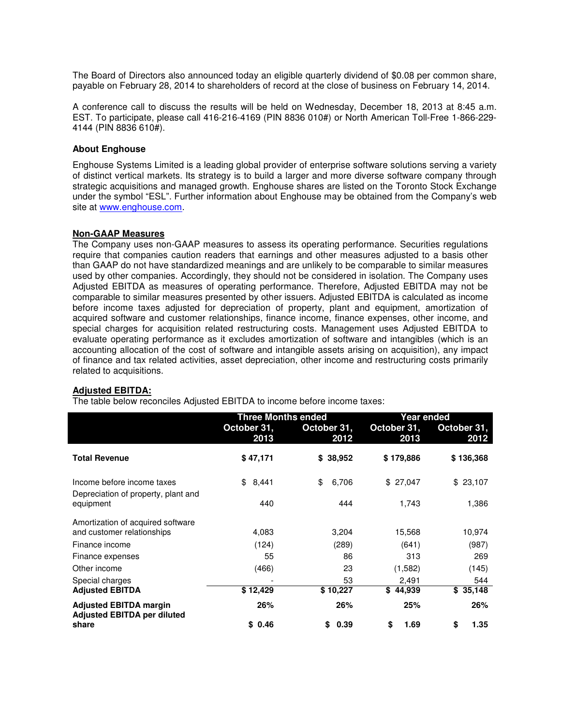The Board of Directors also announced today an eligible quarterly dividend of \$0.08 per common share, payable on February 28, 2014 to shareholders of record at the close of business on February 14, 2014.

A conference call to discuss the results will be held on Wednesday, December 18, 2013 at 8:45 a.m. EST. To participate, please call 416-216-4169 (PIN 8836 010#) or North American Toll-Free 1-866-229- 4144 (PIN 8836 610#).

### **About Enghouse**

Enghouse Systems Limited is a leading global provider of enterprise software solutions serving a variety of distinct vertical markets. Its strategy is to build a larger and more diverse software company through strategic acquisitions and managed growth. Enghouse shares are listed on the Toronto Stock Exchange under the symbol "ESL". Further information about Enghouse may be obtained from the Company's web site at www.enghouse.com.

#### **Non-GAAP Measures**

The Company uses non-GAAP measures to assess its operating performance. Securities regulations require that companies caution readers that earnings and other measures adjusted to a basis other than GAAP do not have standardized meanings and are unlikely to be comparable to similar measures used by other companies. Accordingly, they should not be considered in isolation. The Company uses Adjusted EBITDA as measures of operating performance. Therefore, Adjusted EBITDA may not be comparable to similar measures presented by other issuers. Adjusted EBITDA is calculated as income before income taxes adjusted for depreciation of property, plant and equipment, amortization of acquired software and customer relationships, finance income, finance expenses, other income, and special charges for acquisition related restructuring costs. Management uses Adjusted EBITDA to evaluate operating performance as it excludes amortization of software and intangibles (which is an accounting allocation of the cost of software and intangible assets arising on acquisition), any impact of finance and tax related activities, asset depreciation, other income and restructuring costs primarily related to acquisitions.

#### **Adjusted EBITDA:**

The table below reconciles Adjusted EBITDA to income before income taxes:

|                                                                     | <b>Three Months ended</b> |                     | Year ended          |                     |
|---------------------------------------------------------------------|---------------------------|---------------------|---------------------|---------------------|
|                                                                     | October 31,<br>2013       | October 31,<br>2012 | October 31,<br>2013 | October 31,<br>2012 |
| <b>Total Revenue</b>                                                | \$47,171                  | \$38,952            | \$179,886           | \$136,368           |
| Income before income taxes<br>Depreciation of property, plant and   | 8,441<br>\$               | \$<br>6,706         | \$27,047            | \$23,107            |
| equipment                                                           | 440                       | 444                 | 1,743               | 1,386               |
| Amortization of acquired software                                   |                           |                     |                     |                     |
| and customer relationships                                          | 4,083                     | 3,204               | 15,568              | 10,974              |
| Finance income                                                      | (124)                     | (289)               | (641)               | (987)               |
| Finance expenses                                                    | 55                        | 86                  | 313                 | 269                 |
| Other income                                                        | (466)                     | 23                  | (1,582)             | (145)               |
| Special charges                                                     |                           | 53                  | 2,491               | 544                 |
| <b>Adjusted EBITDA</b>                                              | \$12,429                  | \$10,227            | \$44,939            | \$35,148            |
| <b>Adjusted EBITDA margin</b><br><b>Adjusted EBITDA per diluted</b> | 26%                       | 26%                 | 25%                 | 26%                 |
| share                                                               | \$0.46                    | 0.39<br>\$          | \$<br>1.69          | \$<br>1.35          |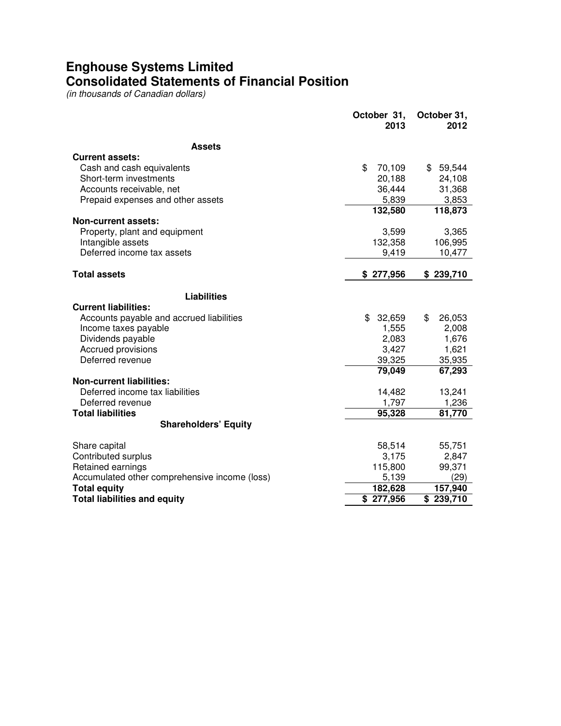# **Enghouse Systems Limited Consolidated Statements of Financial Position**

(in thousands of Canadian dollars)

|                                               | October 31,<br>2013 | October 31,<br>2012 |
|-----------------------------------------------|---------------------|---------------------|
| <b>Assets</b>                                 |                     |                     |
| <b>Current assets:</b>                        |                     |                     |
| Cash and cash equivalents                     | \$<br>70,109        | \$59,544            |
| Short-term investments                        | 20,188              | 24,108              |
| Accounts receivable, net                      | 36,444              | 31,368              |
| Prepaid expenses and other assets             | 5,839               | 3,853               |
|                                               | 132,580             | 118,873             |
| <b>Non-current assets:</b>                    |                     |                     |
| Property, plant and equipment                 | 3,599               | 3,365               |
| Intangible assets                             | 132,358             | 106,995             |
| Deferred income tax assets                    | 9,419               | 10,477              |
| <b>Total assets</b>                           | \$277,956           | \$239,710           |
|                                               |                     |                     |
| <b>Liabilities</b>                            |                     |                     |
| <b>Current liabilities:</b>                   |                     |                     |
| Accounts payable and accrued liabilities      | \$<br>32,659        | \$<br>26,053        |
| Income taxes payable                          | 1,555               | 2,008               |
| Dividends payable                             | 2,083               | 1,676               |
| Accrued provisions                            | 3,427               | 1,621               |
| Deferred revenue                              | 39,325              | 35,935              |
|                                               | 79,049              | 67,293              |
| <b>Non-current liabilities:</b>               |                     |                     |
| Deferred income tax liabilities               | 14,482              | 13,241              |
| Deferred revenue                              | 1,797               | 1,236               |
| <b>Total liabilities</b>                      | 95,328              | 81,770              |
| <b>Shareholders' Equity</b>                   |                     |                     |
| Share capital                                 | 58,514              | 55,751              |
| Contributed surplus                           | 3,175               | 2,847               |
| Retained earnings                             | 115,800             | 99,371              |
| Accumulated other comprehensive income (loss) | 5,139               | (29)                |
| <b>Total equity</b>                           | 182,628             | 157,940             |
| <b>Total liabilities and equity</b>           | \$277,956           | \$239,710           |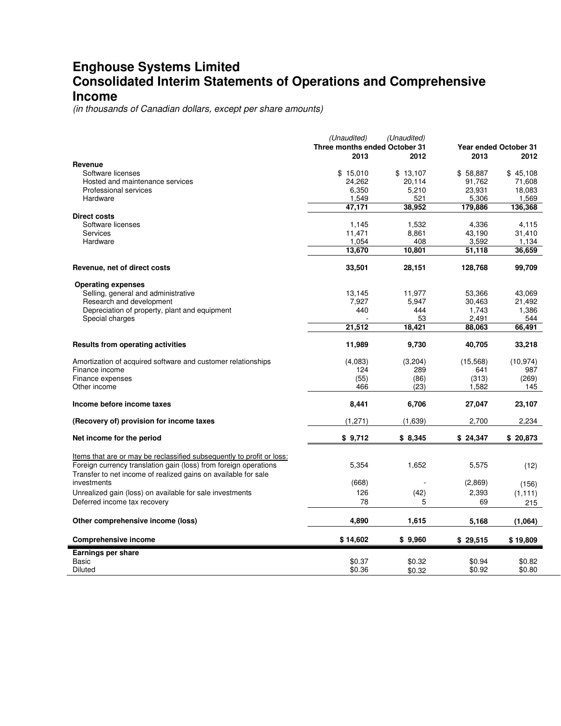### **Enghouse Systems Limited Consolidated Interim Statements of Operations and Comprehensive Income**

(in thousands of Canadian dollars, except per share amounts)

|                                                                       | (Unaudited)<br>(Unaudited)    |               |                       |                  |  |
|-----------------------------------------------------------------------|-------------------------------|---------------|-----------------------|------------------|--|
|                                                                       | Three months ended October 31 |               | Year ended October 31 |                  |  |
|                                                                       | 2013                          | 2012          | 2013                  | 2012             |  |
| Revenue                                                               |                               |               |                       |                  |  |
| Software licenses                                                     | \$15,010                      | \$13,107      | \$58,887              | \$45,108         |  |
| Hosted and maintenance services                                       | 24,262                        | 20,114        | 91,762                | 71,608           |  |
| Professional services                                                 | 6,350                         | 5,210         | 23,931                | 18,083           |  |
| Hardware                                                              | 1,549<br>47,171               | 521<br>38,952 | 5,306<br>179,886      | 1,569<br>136,368 |  |
| Direct costs                                                          |                               |               |                       |                  |  |
| Software licenses                                                     | 1,145                         | 1,532         | 4,336                 | 4,115            |  |
| Services                                                              | 11,471                        | 8,861         | 43,190                | 31,410           |  |
| Hardware                                                              | 1,054                         | 408           | 3,592                 | 1,134            |  |
|                                                                       | 13,670                        | 10,801        | 51,118                | 36,659           |  |
|                                                                       |                               |               |                       |                  |  |
| Revenue, net of direct costs                                          | 33,501                        | 28,151        | 128,768               | 99,709           |  |
| <b>Operating expenses</b>                                             |                               |               |                       |                  |  |
| Selling, general and administrative                                   | 13,145                        | 11,977        | 53,366                | 43,069           |  |
| Research and development                                              | 7,927                         | 5,947         | 30,463                | 21,492           |  |
| Depreciation of property, plant and equipment                         | 440                           | 444           | 1,743                 | 1,386            |  |
| Special charges                                                       |                               | 53            | 2,491                 | 544              |  |
|                                                                       | 21,512                        | 18,421        | 88,063                | 66,491           |  |
| <b>Results from operating activities</b>                              | 11,989                        | 9,730         | 40,705                | 33,218           |  |
| Amortization of acquired software and customer relationships          | (4,083)                       | (3,204)       | (15,568)              | (10.974)         |  |
| Finance income                                                        | 124                           | 289           | 641                   | 987              |  |
| Finance expenses                                                      | (55)                          | (86)          | (313)                 | (269)            |  |
| Other income                                                          | 466                           | (23)          | 1,582                 | 145              |  |
| Income before income taxes                                            | 8,441                         | 6,706         | 27,047                | 23,107           |  |
| (Recovery of) provision for income taxes                              | (1,271)                       | (1,639)       | 2,700                 | 2,234            |  |
| Net income for the period                                             | \$9,712                       | \$8,345       | \$24,347              | \$20,873         |  |
|                                                                       |                               |               |                       |                  |  |
| Items that are or may be reclassified subsequently to profit or loss: |                               |               |                       |                  |  |
| Foreign currency translation gain (loss) from foreign operations      | 5,354                         | 1,652         | 5,575                 | (12)             |  |
| Transfer to net income of realized gains on available for sale        |                               |               |                       |                  |  |
| investments                                                           | (668)                         |               | (2,869)               | (156)            |  |
| Unrealized gain (loss) on available for sale investments              | 126                           | (42)          | 2,393                 | (1, 111)         |  |
| Deferred income tax recovery                                          | 78                            | 5             | 69                    | 215              |  |
| Other comprehensive income (loss)                                     | 4,890                         | 1,615         | 5.168                 | (1,064)          |  |
|                                                                       |                               |               |                       |                  |  |
| <b>Comprehensive income</b>                                           | \$14,602                      | \$9,960       | \$29,515              | \$19,809         |  |
| Earnings per share                                                    |                               |               |                       |                  |  |
| Basic                                                                 | \$0.37                        | \$0.32        | \$0.94                | \$0.82           |  |
| Diluted                                                               | \$0.36                        | \$0.32        | \$0.92                | \$0.80           |  |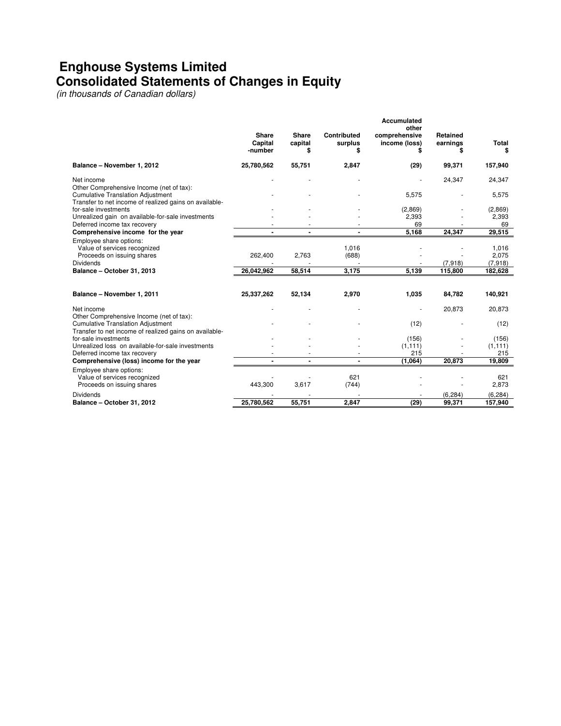## **Enghouse Systems Limited Consolidated Statements of Changes in Equity**

(in thousands of Canadian dollars)

|                                                                                                                                                              |                                    |                               |                             | Accumulated                                  |                      |                    |
|--------------------------------------------------------------------------------------------------------------------------------------------------------------|------------------------------------|-------------------------------|-----------------------------|----------------------------------------------|----------------------|--------------------|
|                                                                                                                                                              | <b>Share</b><br>Capital<br>-number | <b>Share</b><br>capital<br>\$ | Contributed<br>surplus<br>S | other<br>comprehensive<br>income (loss)<br>S | Retained<br>earnings | <b>Total</b><br>\$ |
| Balance - November 1, 2012                                                                                                                                   | 25,780,562                         | 55,751                        | 2,847                       | (29)                                         | 99.371               | 157,940            |
| Net income<br>Other Comprehensive Income (net of tax):                                                                                                       |                                    |                               |                             |                                              | 24,347               | 24,347             |
| <b>Cumulative Translation Adjustment</b><br>Transfer to net income of realized gains on available-                                                           |                                    |                               |                             | 5,575                                        |                      | 5,575              |
| for-sale investments                                                                                                                                         |                                    |                               |                             | (2,869)                                      |                      | (2,869)            |
| Unrealized gain on available-for-sale investments                                                                                                            |                                    |                               |                             | 2,393                                        |                      | 2,393              |
| Deferred income tax recovery                                                                                                                                 |                                    |                               |                             | 69                                           |                      | 69                 |
| Comprehensive income for the year                                                                                                                            |                                    |                               |                             | 5.168                                        | 24,347               | 29,515             |
| Employee share options:<br>Value of services recognized<br>Proceeds on issuing shares                                                                        | 262,400                            | 2,763                         | 1,016<br>(688)              |                                              |                      | 1,016<br>2,075     |
| <b>Dividends</b>                                                                                                                                             | 26,042,962                         | 58,514                        | 3.175                       | 5,139                                        | (7,918)<br>115,800   | (7,918)<br>182,628 |
| Balance - October 31, 2013                                                                                                                                   |                                    |                               |                             |                                              |                      |                    |
|                                                                                                                                                              |                                    |                               |                             |                                              |                      |                    |
| Balance - November 1, 2011                                                                                                                                   | 25,337,262                         | 52,134                        | 2,970                       | 1,035                                        | 84.782               | 140,921            |
| Net income<br>Other Comprehensive Income (net of tax):<br><b>Cumulative Translation Adjustment</b><br>Transfer to net income of realized gains on available- |                                    |                               |                             |                                              | 20,873               | 20,873             |
|                                                                                                                                                              |                                    |                               |                             | (12)                                         |                      | (12)               |
| for-sale investments                                                                                                                                         |                                    |                               |                             | (156)                                        |                      | (156)              |
| Unrealized loss on available-for-sale investments                                                                                                            |                                    |                               |                             | (1, 111)                                     |                      | (1, 111)           |
| Deferred income tax recovery                                                                                                                                 |                                    |                               |                             | 215                                          |                      | 215                |
| Comprehensive (loss) income for the year                                                                                                                     |                                    |                               |                             | (1,064)                                      | 20,873               | 19,809             |
| Employee share options:<br>Value of services recognized                                                                                                      |                                    |                               | 621                         |                                              |                      | 621                |
| Proceeds on issuing shares                                                                                                                                   | 443,300                            | 3,617                         | (744)                       |                                              |                      | 2,873              |
| <b>Dividends</b>                                                                                                                                             |                                    |                               |                             |                                              | (6, 284)             | (6, 284)           |
| Balance - October 31, 2012                                                                                                                                   | 25.780.562                         | 55,751                        | 2,847                       | (29)                                         | 99.371               | 157,940            |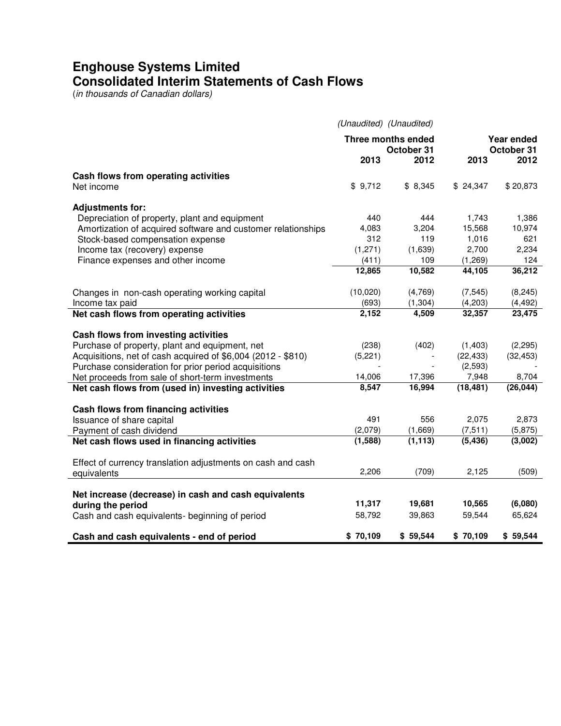# **Enghouse Systems Limited Consolidated Interim Statements of Cash Flows**

(in thousands of Canadian dollars)

|                                                                           | (Unaudited) (Unaudited)          |          |                          |           |
|---------------------------------------------------------------------------|----------------------------------|----------|--------------------------|-----------|
|                                                                           | Three months ended<br>October 31 |          | Year ended<br>October 31 |           |
|                                                                           | 2013                             | 2012     | 2013                     | 2012      |
| Cash flows from operating activities<br>Net income                        | \$9,712                          | \$8,345  | \$24,347                 | \$20,873  |
|                                                                           |                                  |          |                          |           |
| <b>Adjustments for:</b><br>Depreciation of property, plant and equipment  | 440                              | 444      | 1,743                    | 1,386     |
| Amortization of acquired software and customer relationships              | 4,083                            | 3,204    | 15,568                   | 10,974    |
| Stock-based compensation expense                                          | 312                              | 119      | 1,016                    | 621       |
| Income tax (recovery) expense                                             | (1,271)                          | (1,639)  | 2,700                    | 2,234     |
| Finance expenses and other income                                         | (411)                            | 109      | (1,269)                  | 124       |
|                                                                           | 12,865                           | 10,582   | 44,105                   | 36,212    |
| Changes in non-cash operating working capital                             | (10,020)                         | (4,769)  | (7, 545)                 | (8, 245)  |
| Income tax paid                                                           | (693)                            | (1, 304) | (4,203)                  | (4, 492)  |
| Net cash flows from operating activities                                  | 2,152                            | 4,509    | 32,357                   | 23,475    |
| Cash flows from investing activities                                      |                                  |          |                          |           |
| Purchase of property, plant and equipment, net                            | (238)                            | (402)    | (1,403)                  | (2, 295)  |
| Acquisitions, net of cash acquired of \$6,004 (2012 - \$810)              | (5,221)                          |          | (22, 433)                | (32, 453) |
| Purchase consideration for prior period acquisitions                      |                                  |          | (2,593)                  |           |
| Net proceeds from sale of short-term investments                          | 14,006                           | 17,396   | 7,948                    | 8,704     |
| Net cash flows from (used in) investing activities                        | 8,547                            | 16,994   | (18, 481)                | (26, 044) |
|                                                                           |                                  |          |                          |           |
| Cash flows from financing activities<br>Issuance of share capital         | 491                              | 556      | 2,075                    | 2,873     |
| Payment of cash dividend                                                  | (2,079)                          | (1,669)  | (7, 511)                 | (5, 875)  |
| Net cash flows used in financing activities                               | (1,588)                          | (1, 113) | (5, 436)                 | (3,002)   |
| Effect of currency translation adjustments on cash and cash               |                                  |          |                          |           |
| equivalents                                                               | 2,206                            | (709)    | 2,125                    | (509)     |
|                                                                           |                                  |          |                          |           |
| Net increase (decrease) in cash and cash equivalents<br>during the period | 11,317                           | 19,681   | 10,565                   | (6,080)   |
| Cash and cash equivalents- beginning of period                            | 58,792                           | 39,863   | 59,544                   | 65,624    |
| Cash and cash equivalents - end of period                                 | \$70,109                         | \$59,544 | \$70,109                 | \$59,544  |